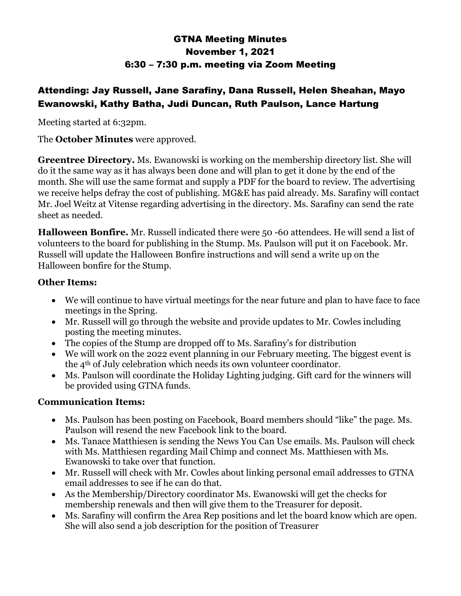# GTNA Meeting Minutes November 1, 2021 6:30 – 7:30 p.m. meeting via Zoom Meeting

## Attending: Jay Russell, Jane Sarafiny, Dana Russell, Helen Sheahan, Mayo Ewanowski, Kathy Batha, Judi Duncan, Ruth Paulson, Lance Hartung

Meeting started at 6:32pm.

#### The **October Minutes** were approved.

**Greentree Directory.** Ms. Ewanowski is working on the membership directory list. She will do it the same way as it has always been done and will plan to get it done by the end of the month. She will use the same format and supply a PDF for the board to review. The advertising we receive helps defray the cost of publishing. MG&E has paid already. Ms. Sarafiny will contact Mr. Joel Weitz at Vitense regarding advertising in the directory. Ms. Sarafiny can send the rate sheet as needed.

**Halloween Bonfire.** Mr. Russell indicated there were 50 -60 attendees. He will send a list of volunteers to the board for publishing in the Stump. Ms. Paulson will put it on Facebook. Mr. Russell will update the Halloween Bonfire instructions and will send a write up on the Halloween bonfire for the Stump.

#### **Other Items:**

- We will continue to have virtual meetings for the near future and plan to have face to face meetings in the Spring.
- Mr. Russell will go through the website and provide updates to Mr. Cowles including posting the meeting minutes.
- The copies of the Stump are dropped off to Ms. Sarafiny's for distribution
- We will work on the 2022 event planning in our February meeting. The biggest event is the 4th of July celebration which needs its own volunteer coordinator.
- Ms. Paulson will coordinate the Holiday Lighting judging. Gift card for the winners will be provided using GTNA funds.

### **Communication Items:**

- Ms. Paulson has been posting on Facebook, Board members should "like" the page. Ms. Paulson will resend the new Facebook link to the board.
- Ms. Tanace Matthiesen is sending the News You Can Use emails. Ms. Paulson will check with Ms. Matthiesen regarding Mail Chimp and connect Ms. Matthiesen with Ms. Ewanowski to take over that function.
- Mr. Russell will check with Mr. Cowles about linking personal email addresses to GTNA email addresses to see if he can do that.
- As the Membership/Directory coordinator Ms. Ewanowski will get the checks for membership renewals and then will give them to the Treasurer for deposit.
- Ms. Sarafiny will confirm the Area Rep positions and let the board know which are open. She will also send a job description for the position of Treasurer